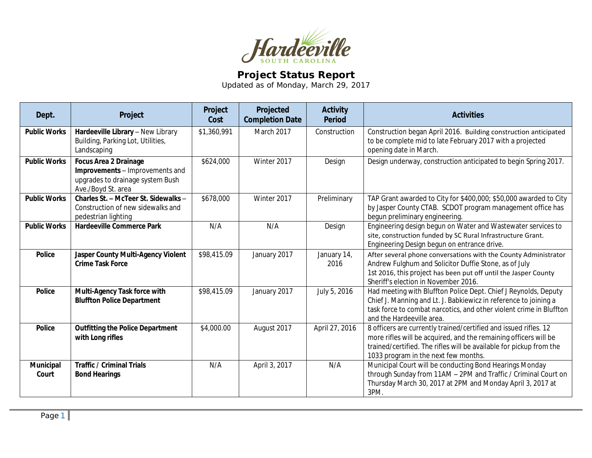

## **Project Status Report**

Updated as of Monday, March 29, 2017

| Dept.                     | Project                                                                                                                   | Project<br>Cost | Projected<br><b>Completion Date</b> | <b>Activity</b><br><b>Period</b> | <b>Activities</b>                                                                                                                                                                                                                                   |
|---------------------------|---------------------------------------------------------------------------------------------------------------------------|-----------------|-------------------------------------|----------------------------------|-----------------------------------------------------------------------------------------------------------------------------------------------------------------------------------------------------------------------------------------------------|
| <b>Public Works</b>       | Hardeeville Library - New Library<br>Building, Parking Lot, Utilities,<br>Landscaping                                     | \$1,360,991     | March 2017                          | Construction                     | Construction began April 2016. Building construction anticipated<br>to be complete mid to late February 2017 with a projected<br>opening date in March.                                                                                             |
| <b>Public Works</b>       | <b>Focus Area 2 Drainage</b><br>Improvements - Improvements and<br>upgrades to drainage system Bush<br>Ave./Boyd St. area | \$624,000       | Winter 2017                         | Design                           | Design underway, construction anticipated to begin Spring 2017.                                                                                                                                                                                     |
| <b>Public Works</b>       | Charles St. - McTeer St. Sidewalks -<br>Construction of new sidewalks and<br>pedestrian lighting                          | \$678,000       | Winter 2017                         | Preliminary                      | TAP Grant awarded to City for \$400,000; \$50,000 awarded to City<br>by Jasper County CTAB. SCDOT program management office has<br>begun preliminary engineering.                                                                                   |
| <b>Public Works</b>       | <b>Hardeeville Commerce Park</b>                                                                                          | N/A             | N/A                                 | Design                           | Engineering design begun on Water and Wastewater services to<br>site, construction funded by SC Rural Infrastructure Grant.<br>Engineering Design begun on entrance drive.                                                                          |
| <b>Police</b>             | Jasper County Multi-Agency Violent<br><b>Crime Task Force</b>                                                             | \$98,415.09     | January 2017                        | January 14,<br>2016              | After several phone conversations with the County Administrator<br>Andrew Fulghum and Solicitor Duffie Stone, as of July<br>1st 2016, this project has been put off until the Jasper County<br>Sheriff's election in November 2016.                 |
| <b>Police</b>             | Multi-Agency Task force with<br><b>Bluffton Police Department</b>                                                         | \$98,415.09     | January 2017                        | July 5, 2016                     | Had meeting with Bluffton Police Dept. Chief J Reynolds, Deputy<br>Chief J. Manning and Lt. J. Babkiewicz in reference to joining a<br>task force to combat narcotics, and other violent crime in Bluffton<br>and the Hardeeville area.             |
| <b>Police</b>             | <b>Outfitting the Police Department</b><br>with Long rifles                                                               | \$4,000.00      | August 2017                         | April 27, 2016                   | 8 officers are currently trained/certified and issued rifles. 12<br>more rifles will be acquired, and the remaining officers will be<br>trained/certified. The rifles will be available for pickup from the<br>1033 program in the next few months. |
| <b>Municipal</b><br>Court | <b>Traffic / Criminal Trials</b><br><b>Bond Hearings</b>                                                                  | N/A             | April 3, 2017                       | N/A                              | Municipal Court will be conducting Bond Hearings Monday<br>through Sunday from 11AM - 2PM and Traffic / Criminal Court on<br>Thursday March 30, 2017 at 2PM and Monday April 3, 2017 at<br>3PM.                                                     |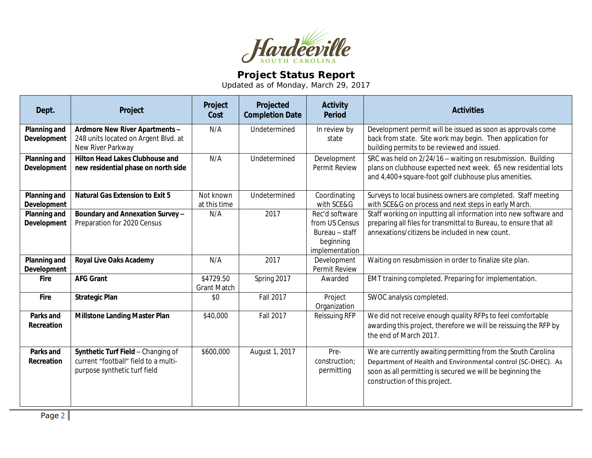

## **Project Status Report**

Updated as of Monday, March 29, 2017

| Dept.                              | Project                                                                                                    | Project<br>Cost                 | Projected<br><b>Completion Date</b> | <b>Activity</b><br><b>Period</b>                                                  | <b>Activities</b>                                                                                                                                                                                                           |
|------------------------------------|------------------------------------------------------------------------------------------------------------|---------------------------------|-------------------------------------|-----------------------------------------------------------------------------------|-----------------------------------------------------------------------------------------------------------------------------------------------------------------------------------------------------------------------------|
| Planning and<br>Development        | Ardmore New River Apartments -<br>248 units located on Argent Blvd. at<br>New River Parkway                | N/A                             | Undetermined                        | In review by<br>state                                                             | Development permit will be issued as soon as approvals come<br>back from state. Site work may begin. Then application for<br>building permits to be reviewed and issued.                                                    |
| Planning and<br>Development        | <b>Hilton Head Lakes Clubhouse and</b><br>new residential phase on north side                              | N/A                             | Undetermined                        | Development<br>Permit Review                                                      | SRC was held on 2/24/16 - waiting on resubmission. Building<br>plans on clubhouse expected next week. 65 new residential lots<br>and 4,400+ square-foot golf clubhouse plus amenities.                                      |
| Planning and<br><b>Development</b> | <b>Natural Gas Extension to Exit 5</b>                                                                     | Not known<br>at this time       | Undetermined                        | Coordinating<br>with SCE&G                                                        | Surveys to local business owners are completed. Staff meeting<br>with SCE&G on process and next steps in early March.                                                                                                       |
| <b>Planning and</b><br>Development | Boundary and Annexation Survey-<br>Preparation for 2020 Census                                             | N/A                             | 2017                                | Rec'd software<br>from US Census<br>Bureau - staff<br>beginning<br>implementation | Staff working on inputting all information into new software and<br>preparing all files for transmittal to Bureau, to ensure that all<br>annexations/citizens be included in new count.                                     |
| <b>Planning and</b><br>Development | <b>Royal Live Oaks Academy</b>                                                                             | N/A                             | 2017                                | Development<br>Permit Review                                                      | Waiting on resubmission in order to finalize site plan.                                                                                                                                                                     |
| <b>Fire</b>                        | <b>AFG Grant</b>                                                                                           | \$4729.50<br><b>Grant Match</b> | Spring 2017                         | Awarded                                                                           | EMT training completed. Preparing for implementation.                                                                                                                                                                       |
| Fire                               | <b>Strategic Plan</b>                                                                                      | \$0                             | Fall 2017                           | Project<br>Organization                                                           | SWOC analysis completed.                                                                                                                                                                                                    |
| Parks and<br>Recreation            | <b>Millstone Landing Master Plan</b>                                                                       | \$40,000                        | <b>Fall 2017</b>                    | Reissuing RFP                                                                     | We did not receive enough quality RFPs to feel comfortable<br>awarding this project, therefore we will be reissuing the RFP by<br>the end of March 2017.                                                                    |
| Parks and<br>Recreation            | Synthetic Turf Field - Changing of<br>current "football" field to a multi-<br>purpose synthetic turf field | \$600,000                       | August 1, 2017                      | Pre-<br>construction;<br>permitting                                               | We are currently awaiting permitting from the South Carolina<br>Department of Health and Environmental control (SC-DHEC). As<br>soon as all permitting is secured we will be beginning the<br>construction of this project. |